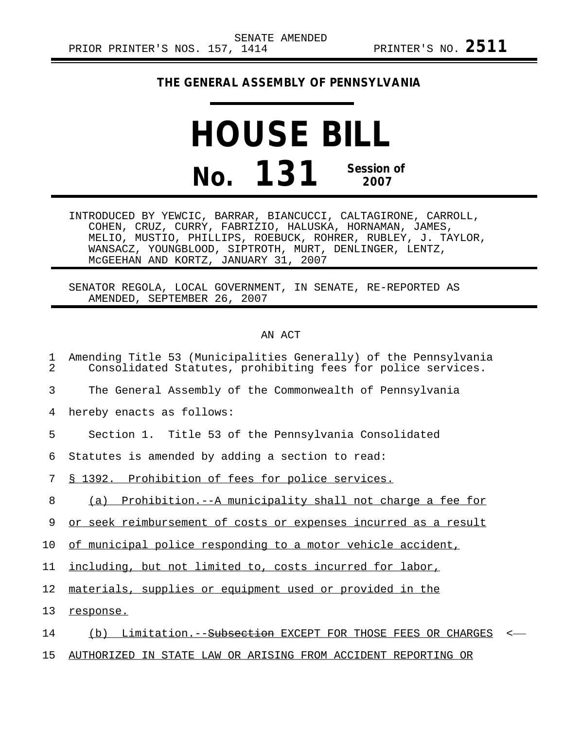## **THE GENERAL ASSEMBLY OF PENNSYLVANIA**

## **HOUSE BILL No. 131 Session of 2007**

INTRODUCED BY YEWCIC, BARRAR, BIANCUCCI, CALTAGIRONE, CARROLL, COHEN, CRUZ, CURRY, FABRIZIO, HALUSKA, HORNAMAN, JAMES, MELIO, MUSTIO, PHILLIPS, ROEBUCK, ROHRER, RUBLEY, J. TAYLOR, WANSACZ, YOUNGBLOOD, SIPTROTH, MURT, DENLINGER, LENTZ, McGEEHAN AND KORTZ, JANUARY 31, 2007

SENATOR REGOLA, LOCAL GOVERNMENT, IN SENATE, RE-REPORTED AS AMENDED, SEPTEMBER 26, 2007

## AN ACT

| 1<br>$\overline{a}$ | Amending Title 53 (Municipalities Generally) of the Pennsylvania<br>Consolidated Statutes, prohibiting fees for police services. |
|---------------------|----------------------------------------------------------------------------------------------------------------------------------|
| 3                   | The General Assembly of the Commonwealth of Pennsylvania                                                                         |
| 4                   | hereby enacts as follows:                                                                                                        |
| 5                   | Section 1. Title 53 of the Pennsylvania Consolidated                                                                             |
| 6                   | Statutes is amended by adding a section to read:                                                                                 |
| 7                   | \$ 1392. Prohibition of fees for police services.                                                                                |
| 8                   | (a) Prohibition.--A municipality shall not charge a fee for                                                                      |
| 9                   | or seek reimbursement of costs or expenses incurred as a result                                                                  |
| 10                  | of municipal police responding to a motor vehicle accident,                                                                      |
| 11                  | including, but not limited to, costs incurred for labor,                                                                         |
| 12                  | materials, supplies or equipment used or provided in the                                                                         |
| 13                  | response.                                                                                                                        |
| 14                  | (b) Limitation.--Subsection EXCEPT FOR THOSE FEES OR CHARGES<br>$\prec$                                                          |
| 15                  | AUTHORIZED IN STATE LAW OR ARISING FROM ACCIDENT REPORTING OR                                                                    |